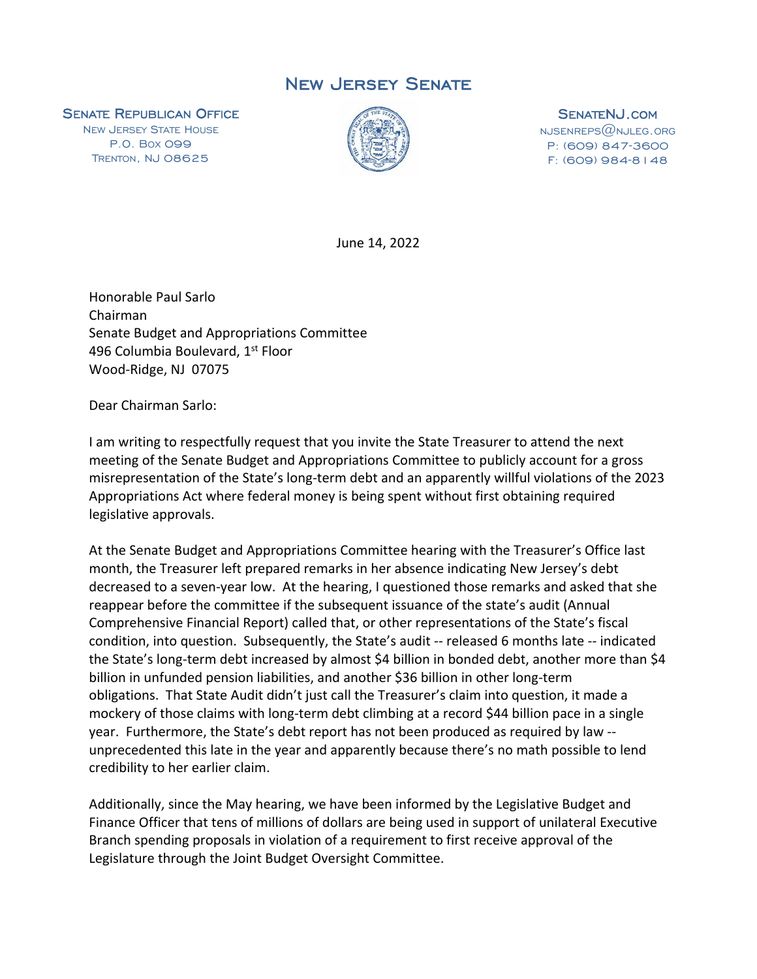## New Jersey Senate

**SENATE REPUBLICAN OFFICE**<br>NEW JERSEY STATE HOUSE

P.O. BOX 099 TRENTON, NJ 08625



**SENATENJ.COM**<br>NJSENREPS@NJLEG.ORG P: (609) 847-3600 F: (609) 984-8148

June 14, 2022

Honorable Paul Sarlo Chairman Senate Budget and Appropriations Committee 496 Columbia Boulevard, 1st Floor Wood-Ridge, NJ 07075

Dear Chairman Sarlo:

I am writing to respectfully request that you invite the State Treasurer to attend the next meeting of the Senate Budget and Appropriations Committee to publicly account for a gross misrepresentation of the State's long-term debt and an apparently willful violations of the 2023 Appropriations Act where federal money is being spent without first obtaining required legislative approvals.

At the Senate Budget and Appropriations Committee hearing with the Treasurer's Office last month, the Treasurer left prepared remarks in her absence indicating New Jersey's debt decreased to a seven-year low. At the hearing, I questioned those remarks and asked that she reappear before the committee if the subsequent issuance of the state's audit (Annual Comprehensive Financial Report) called that, or other representations of the State's fiscal condition, into question. Subsequently, the State's audit -- released 6 months late -- indicated the State's long-term debt increased by almost \$4 billion in bonded debt, another more than \$4 billion in unfunded pension liabilities, and another \$36 billion in other long-term obligations. That State Audit didn't just call the Treasurer's claim into question, it made a mockery of those claims with long-term debt climbing at a record \$44 billion pace in a single year. Furthermore, the State's debt report has not been produced as required by law - unprecedented this late in the year and apparently because there's no math possible to lend credibility to her earlier claim.

Additionally, since the May hearing, we have been informed by the Legislative Budget and Finance Officer that tens of millions of dollars are being used in support of unilateral Executive Branch spending proposals in violation of a requirement to first receive approval of the Legislature through the Joint Budget Oversight Committee.